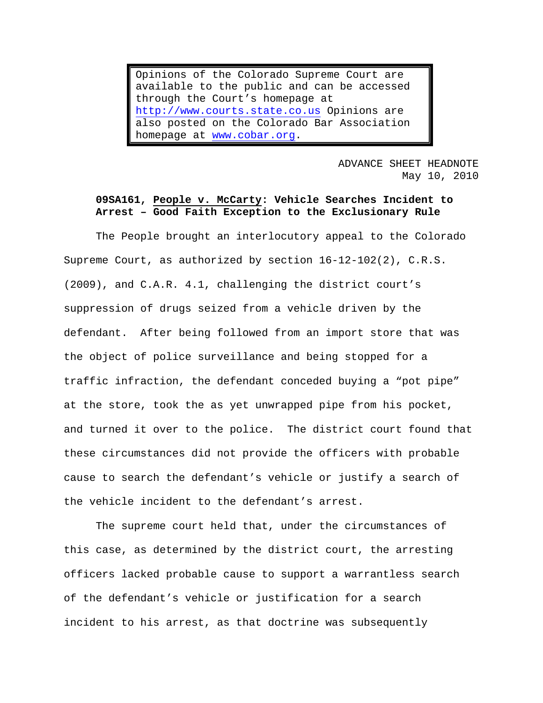Opinions of the Colorado Supreme Court are available to the public and can be accessed through the Court's homepage at [http://www.courts.state.co.us](http://www.courts.state.co.us/) Opinions are also posted on the Colorado Bar Association homepage at [www.cobar.org](http://www.cobar.org/).

> ADVANCE SHEET HEADNOTE May 10, 2010

# **09SA161, People v. McCarty: Vehicle Searches Incident to Arrest – Good Faith Exception to the Exclusionary Rule**

The People brought an interlocutory appeal to the Colorado Supreme Court, as authorized by section 16-12-102(2), C.R.S. (2009), and C.A.R. 4.1, challenging the district court's suppression of drugs seized from a vehicle driven by the defendant. After being followed from an import store that was the object of police surveillance and being stopped for a traffic infraction, the defendant conceded buying a "pot pipe" at the store, took the as yet unwrapped pipe from his pocket, and turned it over to the police. The district court found that these circumstances did not provide the officers with probable cause to search the defendant's vehicle or justify a search of the vehicle incident to the defendant's arrest.

The supreme court held that, under the circumstances of this case, as determined by the district court, the arresting officers lacked probable cause to support a warrantless search of the defendant's vehicle or justification for a search incident to his arrest, as that doctrine was subsequently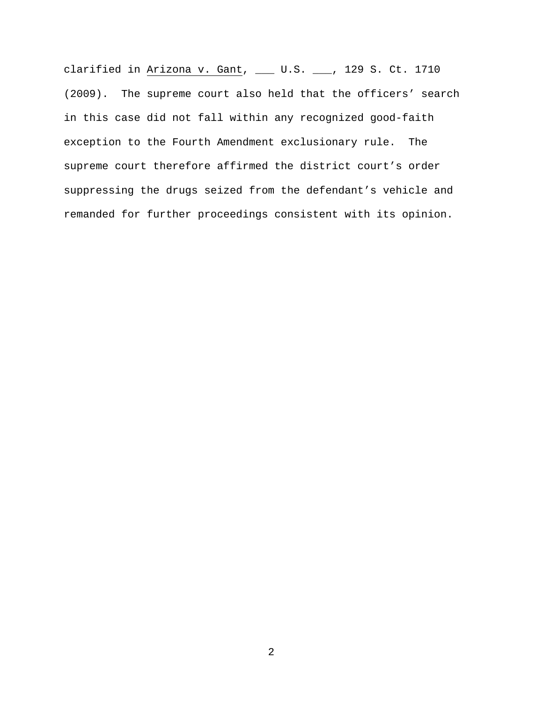clarified in  $\frac{\text{Arizon}}{\text{A}}$  v. Gant, \_\_\_ U.S. \_\_\_, 129 S. Ct. 1710 (2009). The supreme court also held that the officers' search in this case did not fall within any recognized good-faith exception to the Fourth Amendment exclusionary rule. The supreme court therefore affirmed the district court's order suppressing the drugs seized from the defendant's vehicle and remanded for further proceedings consistent with its opinion.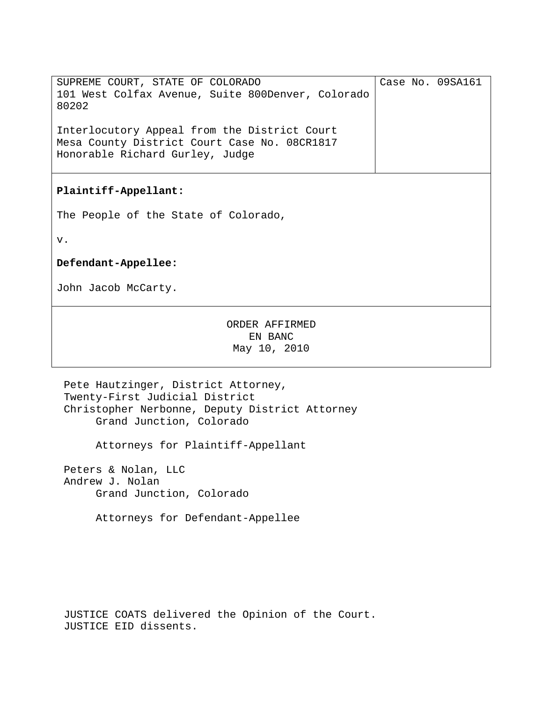| SUPREME COURT, STATE OF COLORADO<br>101 West Colfax Avenue, Suite 800Denver, Colorado<br>80202                                  |  | Case No. 09SA161 |
|---------------------------------------------------------------------------------------------------------------------------------|--|------------------|
| Interlocutory Appeal from the District Court<br>Mesa County District Court Case No. 08CR1817<br>Honorable Richard Gurley, Judge |  |                  |
| Plaintiff-Appellant:                                                                                                            |  |                  |
| The People of the State of Colorado,                                                                                            |  |                  |
| v.                                                                                                                              |  |                  |
| Defendant-Appellee:                                                                                                             |  |                  |
| John Jacob McCarty.                                                                                                             |  |                  |
| ORDER AFFIRMED<br>EN BANC<br>May 10, 2010                                                                                       |  |                  |

Pete Hautzinger, District Attorney, Twenty-First Judicial District Christopher Nerbonne, Deputy District Attorney Grand Junction, Colorado

Attorneys for Plaintiff-Appellant

Peters & Nolan, LLC Andrew J. Nolan Grand Junction, Colorado

Attorneys for Defendant-Appellee

JUSTICE COATS delivered the Opinion of the Court. JUSTICE EID dissents.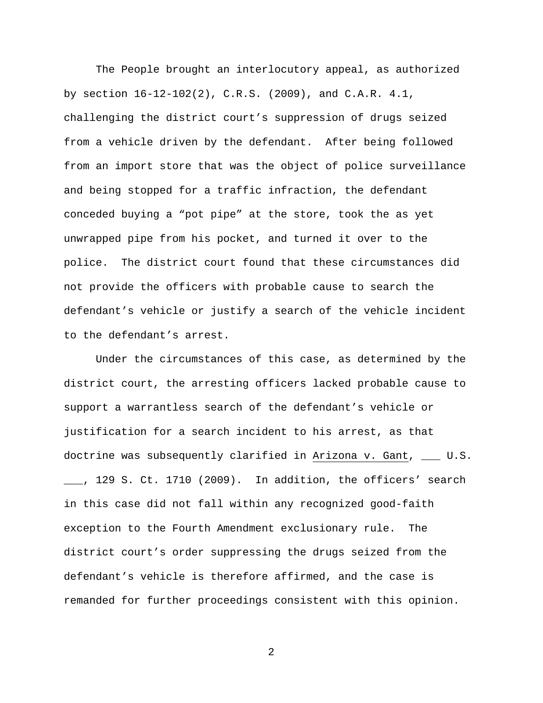The People brought an interlocutory appeal, as authorized by section 16-12-102(2), C.R.S. (2009), and C.A.R. 4.1, challenging the district court's suppression of drugs seized from a vehicle driven by the defendant. After being followed from an import store that was the object of police surveillance and being stopped for a traffic infraction, the defendant conceded buying a "pot pipe" at the store, took the as yet unwrapped pipe from his pocket, and turned it over to the police. The district court found that these circumstances did not provide the officers with probable cause to search the defendant's vehicle or justify a search of the vehicle incident to the defendant's arrest.

 Under the circumstances of this case, as determined by the district court, the arresting officers lacked probable cause to support a warrantless search of the defendant's vehicle or justification for a search incident to his arrest, as that doctrine was subsequently clarified in Arizona v. Gant, \_\_\_ U.S. \_\_\_, 129 S. Ct. 1710 (2009). In addition, the officers' search in this case did not fall within any recognized good-faith exception to the Fourth Amendment exclusionary rule. The district court's order suppressing the drugs seized from the defendant's vehicle is therefore affirmed, and the case is remanded for further proceedings consistent with this opinion.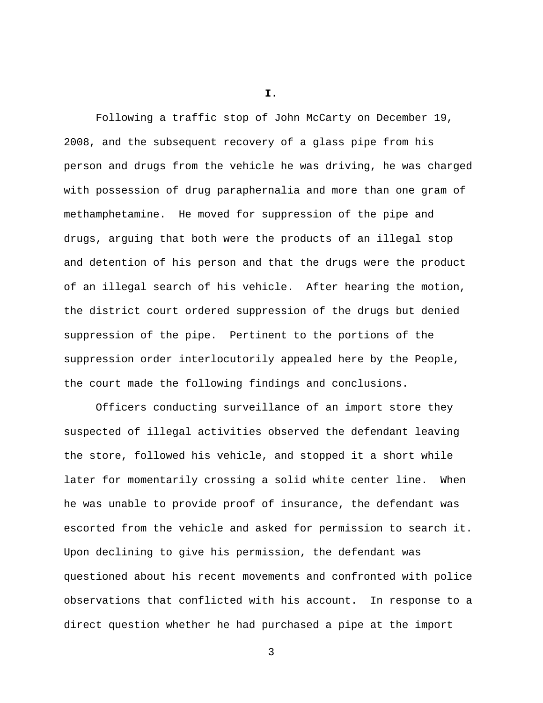**I.**

 Following a traffic stop of John McCarty on December 19, 2008, and the subsequent recovery of a glass pipe from his person and drugs from the vehicle he was driving, he was charged with possession of drug paraphernalia and more than one gram of methamphetamine. He moved for suppression of the pipe and drugs, arguing that both were the products of an illegal stop and detention of his person and that the drugs were the product of an illegal search of his vehicle. After hearing the motion, the district court ordered suppression of the drugs but denied suppression of the pipe. Pertinent to the portions of the suppression order interlocutorily appealed here by the People, the court made the following findings and conclusions.

 Officers conducting surveillance of an import store they suspected of illegal activities observed the defendant leaving the store, followed his vehicle, and stopped it a short while later for momentarily crossing a solid white center line. When he was unable to provide proof of insurance, the defendant was escorted from the vehicle and asked for permission to search it. Upon declining to give his permission, the defendant was questioned about his recent movements and confronted with police observations that conflicted with his account. In response to a direct question whether he had purchased a pipe at the import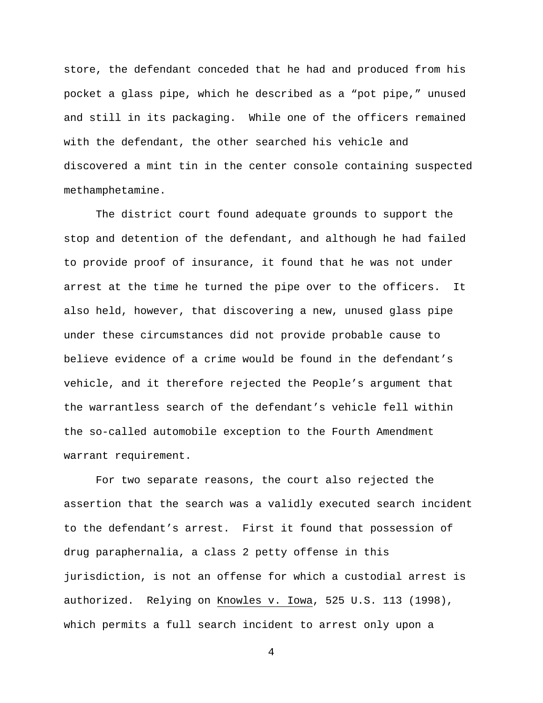store, the defendant conceded that he had and produced from his pocket a glass pipe, which he described as a "pot pipe," unused and still in its packaging. While one of the officers remained with the defendant, the other searched his vehicle and discovered a mint tin in the center console containing suspected methamphetamine.

 The district court found adequate grounds to support the stop and detention of the defendant, and although he had failed to provide proof of insurance, it found that he was not under arrest at the time he turned the pipe over to the officers. It also held, however, that discovering a new, unused glass pipe under these circumstances did not provide probable cause to believe evidence of a crime would be found in the defendant's vehicle, and it therefore rejected the People's argument that the warrantless search of the defendant's vehicle fell within the so-called automobile exception to the Fourth Amendment warrant requirement.

 For two separate reasons, the court also rejected the assertion that the search was a validly executed search incident to the defendant's arrest. First it found that possession of drug paraphernalia, a class 2 petty offense in this jurisdiction, is not an offense for which a custodial arrest is authorized. Relying on Knowles v. Iowa, 525 U.S. 113 (1998), which permits a full search incident to arrest only upon a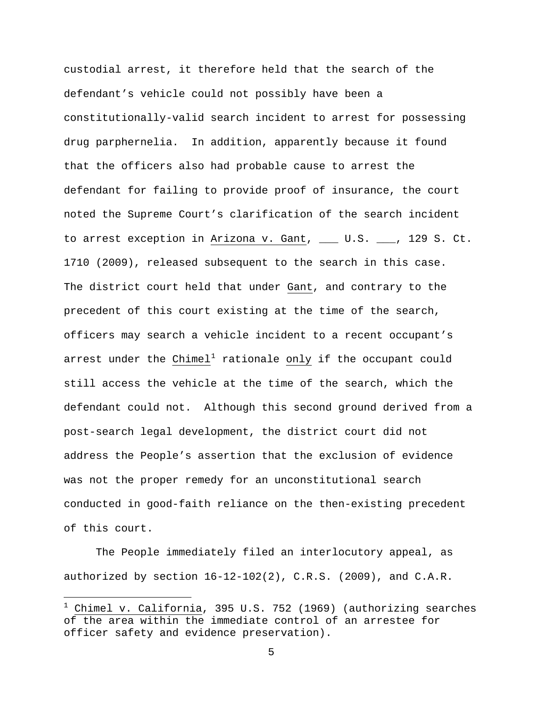custodial arrest, it therefore held that the search of the defendant's vehicle could not possibly have been a constitutionally-valid search incident to arrest for possessing drug parphernelia. In addition, apparently because it found that the officers also had probable cause to arrest the defendant for failing to provide proof of insurance, the court noted the Supreme Court's clarification of the search incident to arrest exception in Arizona v. Gant, \_\_\_ U.S. \_\_\_, 129 S. Ct. 1710 (2009), released subsequent to the search in this case. The district court held that under Gant, and contrary to the precedent of this court existing at the time of the search, officers may search a vehicle incident to a recent occupant's arrest under the Chimel<sup>[1](#page-6-0)</sup> rationale only if the occupant could still access the vehicle at the time of the search, which the defendant could not. Although this second ground derived from a post-search legal development, the district court did not address the People's assertion that the exclusion of evidence was not the proper remedy for an unconstitutional search conducted in good-faith reliance on the then-existing precedent of this court.

 The People immediately filed an interlocutory appeal, as authorized by section  $16-12-102(2)$ , C.R.S. (2009), and C.A.R.

i

<span id="page-6-0"></span> $^1$  Chimel v. California, 395 U.S. 752 (1969) (authorizing searches of the area within the immediate control of an arrestee for officer safety and evidence preservation).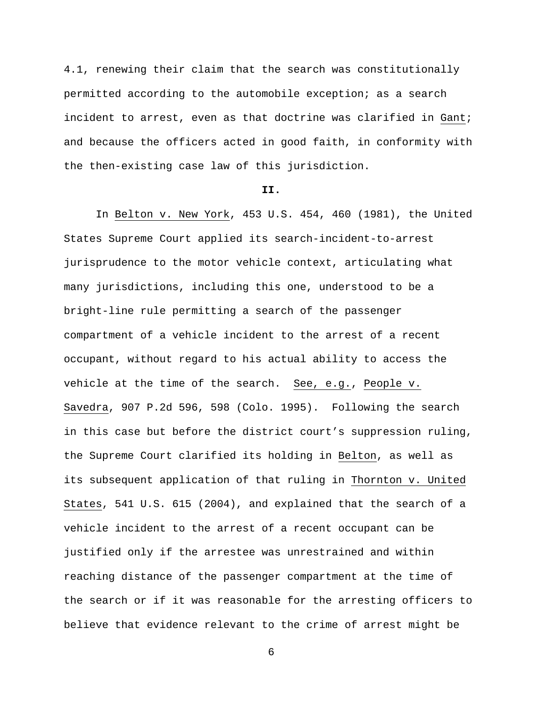4.1, renewing their claim that the search was constitutionally permitted according to the automobile exception; as a search incident to arrest, even as that doctrine was clarified in Gant; and because the officers acted in good faith, in conformity with the then-existing case law of this jurisdiction.

#### **II.**

 In Belton v. New York, 453 U.S. 454, 460 (1981), the United States Supreme Court applied its search-incident-to-arrest jurisprudence to the motor vehicle context, articulating what many jurisdictions, including this one, understood to be a bright-line rule permitting a search of the passenger compartment of a vehicle incident to the arrest of a recent occupant, without regard to his actual ability to access the vehicle at the time of the search. See, e.g., People v. Savedra, 907 P.2d 596, 598 (Colo. 1995). Following the search in this case but before the district court's suppression ruling, the Supreme Court clarified its holding in Belton, as well as its subsequent application of that ruling in Thornton v. United States, 541 U.S. 615 (2004), and explained that the search of a vehicle incident to the arrest of a recent occupant can be justified only if the arrestee was unrestrained and within reaching distance of the passenger compartment at the time of the search or if it was reasonable for the arresting officers to believe that evidence relevant to the crime of arrest might be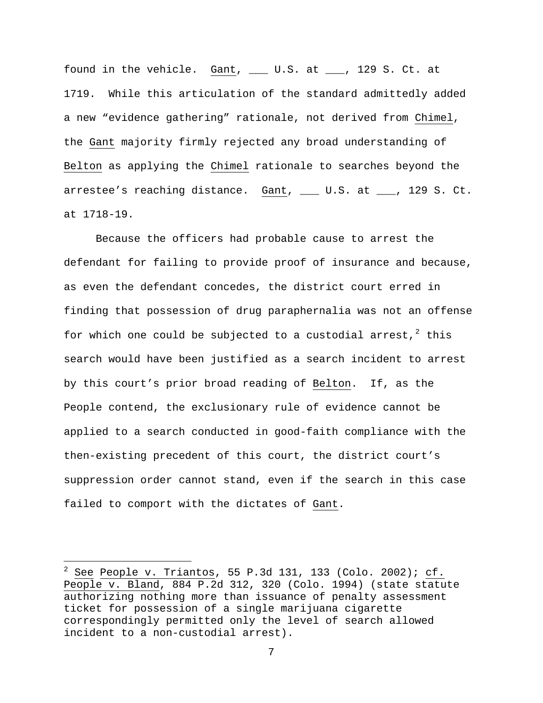found in the vehicle. Gant, \_\_\_ U.S. at \_\_\_, 129 S. Ct. at 1719. While this articulation of the standard admittedly added a new "evidence gathering" rationale, not derived from Chimel, the Gant majority firmly rejected any broad understanding of Belton as applying the Chimel rationale to searches beyond the arrestee's reaching distance. Gant, \_\_\_ U.S. at \_\_\_, 129 S. Ct. at 1718-19.

 Because the officers had probable cause to arrest the defendant for failing to provide proof of insurance and because, as even the defendant concedes, the district court erred in finding that possession of drug paraphernalia was not an offense for which one could be subjected to a custodial arrest,  $2$  this search would have been justified as a search incident to arrest by this court's prior broad reading of Belton. If, as the People contend, the exclusionary rule of evidence cannot be applied to a search conducted in good-faith compliance with the then-existing precedent of this court, the district court's suppression order cannot stand, even if the search in this case failed to comport with the dictates of Gant.

i<br>Li

<span id="page-8-0"></span><sup>2</sup> See People v. Triantos, 55 P.3d 131, 133 (Colo. 2002); cf. People v. Bland, 884 P.2d 312, 320 (Colo. 1994) (state statute authorizing nothing more than issuance of penalty assessment ticket for possession of a single marijuana cigarette correspondingly permitted only the level of search allowed incident to a non-custodial arrest).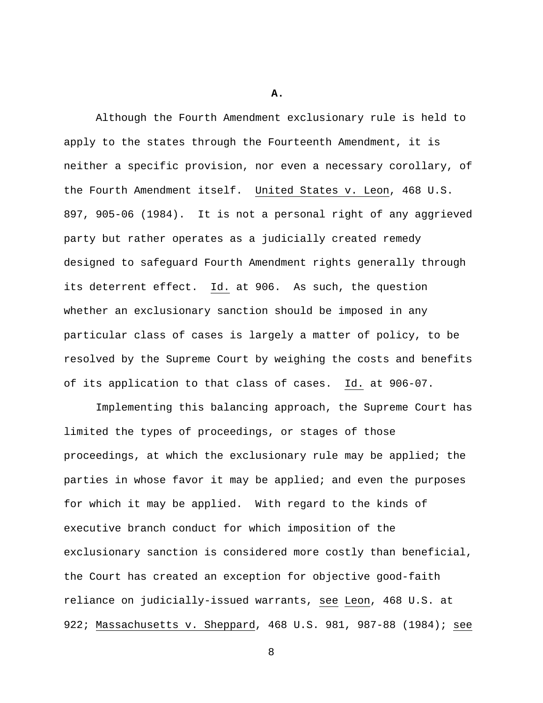**A.**

Although the Fourth Amendment exclusionary rule is held to apply to the states through the Fourteenth Amendment, it is neither a specific provision, nor even a necessary corollary, of the Fourth Amendment itself. United States v. Leon, 468 U.S. 897, 905-06 (1984). It is not a personal right of any aggrieved party but rather operates as a judicially created remedy designed to safeguard Fourth Amendment rights generally through its deterrent effect. Id. at 906. As such, the question whether an exclusionary sanction should be imposed in any particular class of cases is largely a matter of policy, to be resolved by the Supreme Court by weighing the costs and benefits of its application to that class of cases. Id. at 906-07.

Implementing this balancing approach, the Supreme Court has limited the types of proceedings, or stages of those proceedings, at which the exclusionary rule may be applied; the parties in whose favor it may be applied; and even the purposes for which it may be applied. With regard to the kinds of executive branch conduct for which imposition of the exclusionary sanction is considered more costly than beneficial, the Court has created an exception for objective good-faith reliance on judicially-issued warrants, see Leon, 468 U.S. at 922; Massachusetts v. Sheppard, 468 U.S. 981, 987-88 (1984); see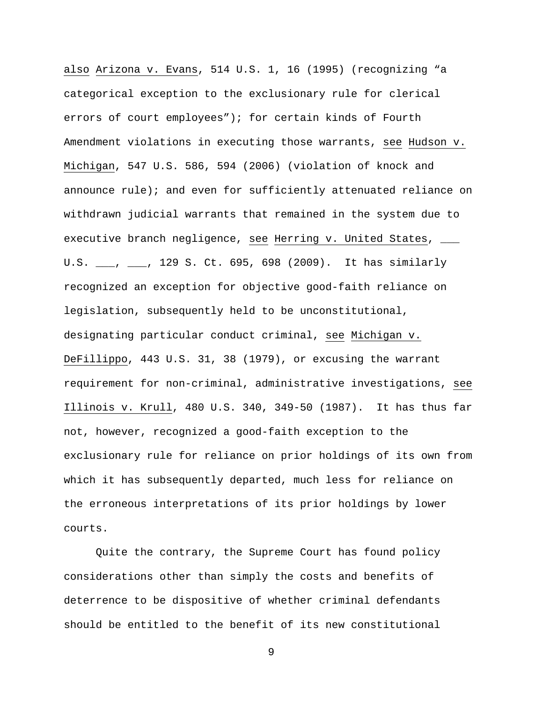also Arizona v. Evans, 514 U.S. 1, 16 (1995) (recognizing "a categorical exception to the exclusionary rule for clerical errors of court employees"); for certain kinds of Fourth Amendment violations in executing those warrants, see Hudson v. Michigan, 547 U.S. 586, 594 (2006) (violation of knock and announce rule); and even for sufficiently attenuated reliance on withdrawn judicial warrants that remained in the system due to executive branch negligence, see Herring v. United States, \_\_\_ U.S. \_\_\_, \_\_\_, 129 S. Ct. 695, 698 (2009). It has similarly recognized an exception for objective good-faith reliance on legislation, subsequently held to be unconstitutional, designating particular conduct criminal, see Michigan v. DeFillippo, 443 U.S. 31, 38 (1979), or excusing the warrant requirement for non-criminal, administrative investigations, see Illinois v. Krull, 480 U.S. 340, 349-50 (1987). It has thus far not, however, recognized a good-faith exception to the exclusionary rule for reliance on prior holdings of its own from which it has subsequently departed, much less for reliance on the erroneous interpretations of its prior holdings by lower courts.

Quite the contrary, the Supreme Court has found policy considerations other than simply the costs and benefits of deterrence to be dispositive of whether criminal defendants should be entitled to the benefit of its new constitutional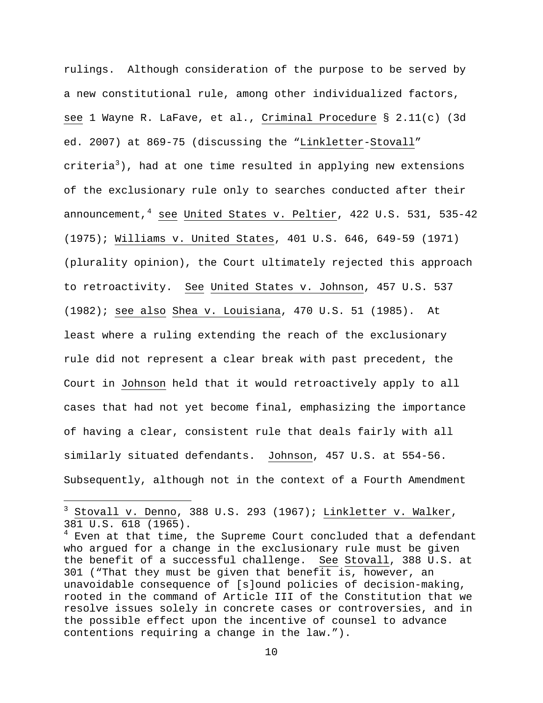rulings. Although consideration of the purpose to be served by a new constitutional rule, among other individualized factors, see 1 Wayne R. LaFave, et al., Criminal Procedure § 2.11(c) (3d ed. 2007) at 869-75 (discussing the "Linkletter-Stovall" criteria<sup>[3](#page-11-0)</sup>), had at one time resulted in applying new extensions of the exclusionary rule only to searches conducted after their announcement, $4$  see United States v. Peltier, 422 U.S. 531, 535-42 (1975); Williams v. United States, 401 U.S. 646, 649-59 (1971) (plurality opinion), the Court ultimately rejected this approach to retroactivity. See United States v. Johnson, 457 U.S. 537 (1982); see also Shea v. Louisiana, 470 U.S. 51 (1985). At least where a ruling extending the reach of the exclusionary rule did not represent a clear break with past precedent, the Court in Johnson held that it would retroactively apply to all cases that had not yet become final, emphasizing the importance of having a clear, consistent rule that deals fairly with all similarly situated defendants. Johnson, 457 U.S. at 554-56. Subsequently, although not in the context of a Fourth Amendment

i

<span id="page-11-0"></span> $3$  Stovall v. Denno, 388 U.S. 293 (1967); Linkletter v. Walker, 381 U.S. 618 (1965).

<span id="page-11-1"></span> $^4$  Even at that time, the Supreme Court concluded that a defendant who argued for a change in the exclusionary rule must be given the benefit of a successful challenge. See Stovall, 388 U.S. at 301 ("That they must be given that benefit is, however, an unavoidable consequence of [s]ound policies of decision-making, rooted in the command of Article III of the Constitution that we resolve issues solely in concrete cases or controversies, and in the possible effect upon the incentive of counsel to advance contentions requiring a change in the law.").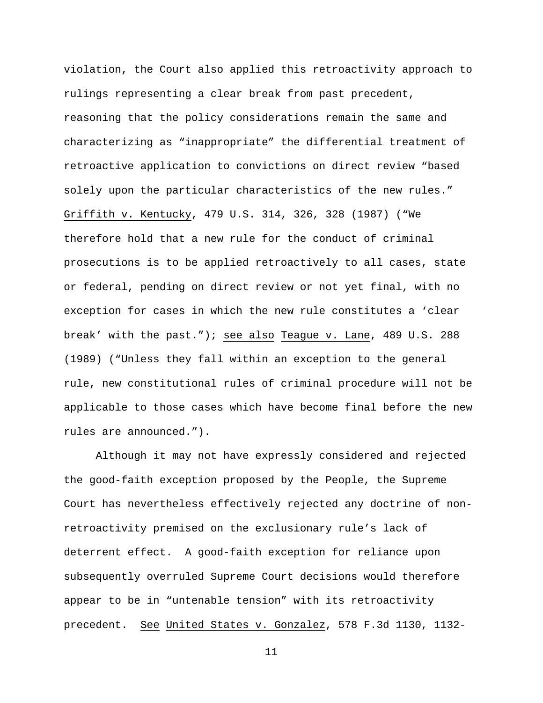violation, the Court also applied this retroactivity approach to rulings representing a clear break from past precedent, reasoning that the policy considerations remain the same and characterizing as "inappropriate" the differential treatment of retroactive application to convictions on direct review "based solely upon the particular characteristics of the new rules." Griffith v. Kentucky, 479 U.S. 314, 326, 328 (1987) ("We therefore hold that a new rule for the conduct of criminal prosecutions is to be applied retroactively to all cases, state or federal, pending on direct review or not yet final, with no exception for cases in which the new rule constitutes a 'clear break' with the past."); see also Teague v. Lane, 489 U.S. 288 (1989) ("Unless they fall within an exception to the general rule, new constitutional rules of criminal procedure will not be applicable to those cases which have become final before the new rules are announced.").

Although it may not have expressly considered and rejected the good-faith exception proposed by the People, the Supreme Court has nevertheless effectively rejected any doctrine of nonretroactivity premised on the exclusionary rule's lack of deterrent effect. A good-faith exception for reliance upon subsequently overruled Supreme Court decisions would therefore appear to be in "untenable tension" with its retroactivity precedent. See United States v. Gonzalez, 578 F.3d 1130, 1132-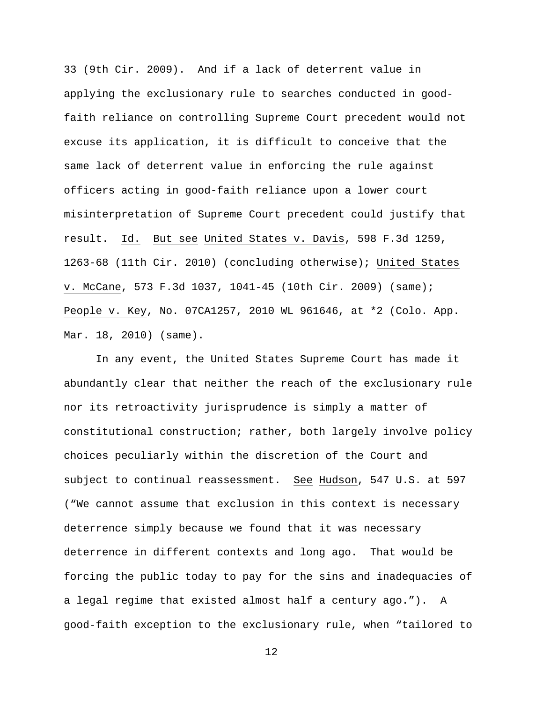33 (9th Cir. 2009). And if a lack of deterrent value in applying the exclusionary rule to searches conducted in goodfaith reliance on controlling Supreme Court precedent would not excuse its application, it is difficult to conceive that the same lack of deterrent value in enforcing the rule against officers acting in good-faith reliance upon a lower court misinterpretation of Supreme Court precedent could justify that result. Id. But see United States v. Davis, 598 F.3d 1259, 1263-68 (11th Cir. 2010) (concluding otherwise); United States v. McCane, 573 F.3d 1037, 1041-45 (10th Cir. 2009) (same); People v. Key, No. 07CA1257, 2010 WL 961646, at \*2 (Colo. App. Mar. 18, 2010) (same).

In any event, the United States Supreme Court has made it abundantly clear that neither the reach of the exclusionary rule nor its retroactivity jurisprudence is simply a matter of constitutional construction; rather, both largely involve policy choices peculiarly within the discretion of the Court and subject to continual reassessment. See Hudson, 547 U.S. at 597 ("We cannot assume that exclusion in this context is necessary deterrence simply because we found that it was necessary deterrence in different contexts and long ago. That would be forcing the public today to pay for the sins and inadequacies of a legal regime that existed almost half a century ago."). A good-faith exception to the exclusionary rule, when "tailored to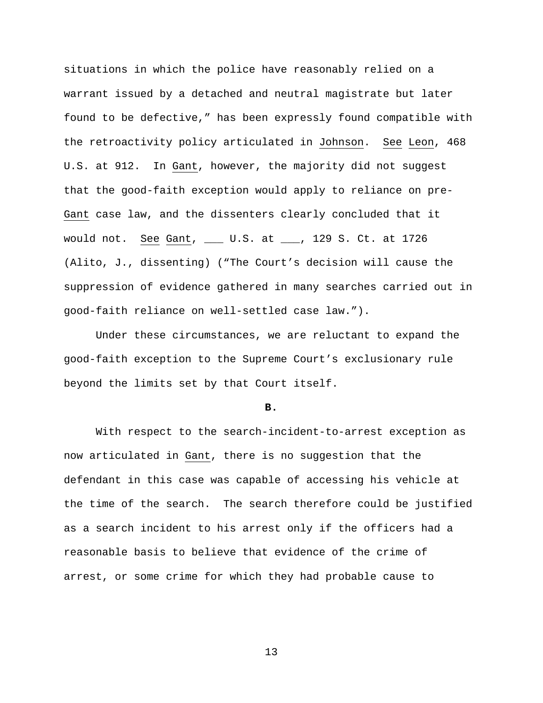situations in which the police have reasonably relied on a warrant issued by a detached and neutral magistrate but later found to be defective," has been expressly found compatible with the retroactivity policy articulated in Johnson. See Leon, 468 U.S. at 912. In Gant, however, the majority did not suggest that the good-faith exception would apply to reliance on pre-Gant case law, and the dissenters clearly concluded that it would not. See Gant, \_\_\_ U.S. at \_\_\_, 129 S. Ct. at 1726 (Alito, J., dissenting) ("The Court's decision will cause the suppression of evidence gathered in many searches carried out in good-faith reliance on well-settled case law.").

Under these circumstances, we are reluctant to expand the good-faith exception to the Supreme Court's exclusionary rule beyond the limits set by that Court itself.

#### **B.**

 With respect to the search-incident-to-arrest exception as now articulated in Gant, there is no suggestion that the defendant in this case was capable of accessing his vehicle at the time of the search. The search therefore could be justified as a search incident to his arrest only if the officers had a reasonable basis to believe that evidence of the crime of arrest, or some crime for which they had probable cause to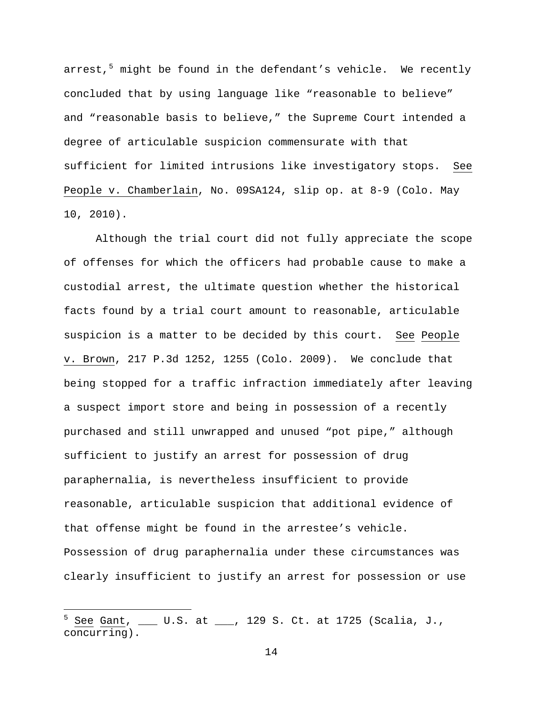arrest, $5$  might be found in the defendant's vehicle. We recently concluded that by using language like "reasonable to believe" and "reasonable basis to believe," the Supreme Court intended a degree of articulable suspicion commensurate with that sufficient for limited intrusions like investigatory stops. See People v. Chamberlain, No. 09SA124, slip op. at 8-9 (Colo. May 10, 2010).

 Although the trial court did not fully appreciate the scope of offenses for which the officers had probable cause to make a custodial arrest, the ultimate question whether the historical facts found by a trial court amount to reasonable, articulable suspicion is a matter to be decided by this court. See People v. Brown, 217 P.3d 1252, 1255 (Colo. 2009). We conclude that being stopped for a traffic infraction immediately after leaving a suspect import store and being in possession of a recently purchased and still unwrapped and unused "pot pipe," although sufficient to justify an arrest for possession of drug paraphernalia, is nevertheless insufficient to provide reasonable, articulable suspicion that additional evidence of that offense might be found in the arrestee's vehicle. Possession of drug paraphernalia under these circumstances was clearly insufficient to justify an arrest for possession or use

i<br>Li

<span id="page-15-0"></span><sup>5</sup> See Gant, \_\_\_ U.S. at \_\_\_, 129 S. Ct. at 1725 (Scalia, J., concurring).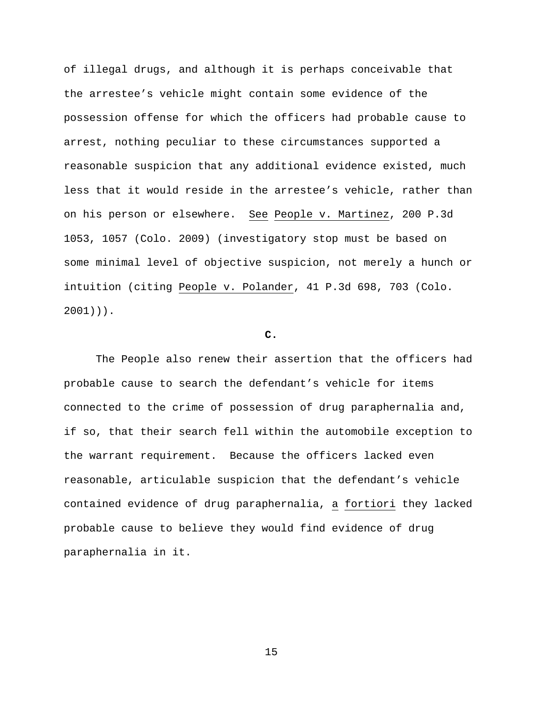of illegal drugs, and although it is perhaps conceivable that the arrestee's vehicle might contain some evidence of the possession offense for which the officers had probable cause to arrest, nothing peculiar to these circumstances supported a reasonable suspicion that any additional evidence existed, much less that it would reside in the arrestee's vehicle, rather than on his person or elsewhere. See People v. Martinez, 200 P.3d 1053, 1057 (Colo. 2009) (investigatory stop must be based on some minimal level of objective suspicion, not merely a hunch or intuition (citing People v. Polander, 41 P.3d 698, 703 (Colo. 2001))).

# **C.**

 The People also renew their assertion that the officers had probable cause to search the defendant's vehicle for items connected to the crime of possession of drug paraphernalia and, if so, that their search fell within the automobile exception to the warrant requirement. Because the officers lacked even reasonable, articulable suspicion that the defendant's vehicle contained evidence of drug paraphernalia, a fortiori they lacked probable cause to believe they would find evidence of drug paraphernalia in it.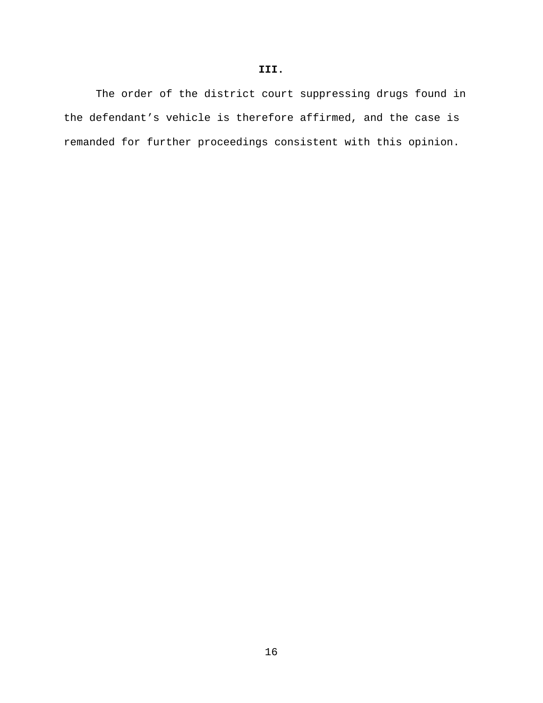The order of the district court suppressing drugs found in the defendant's vehicle is therefore affirmed, and the case is remanded for further proceedings consistent with this opinion.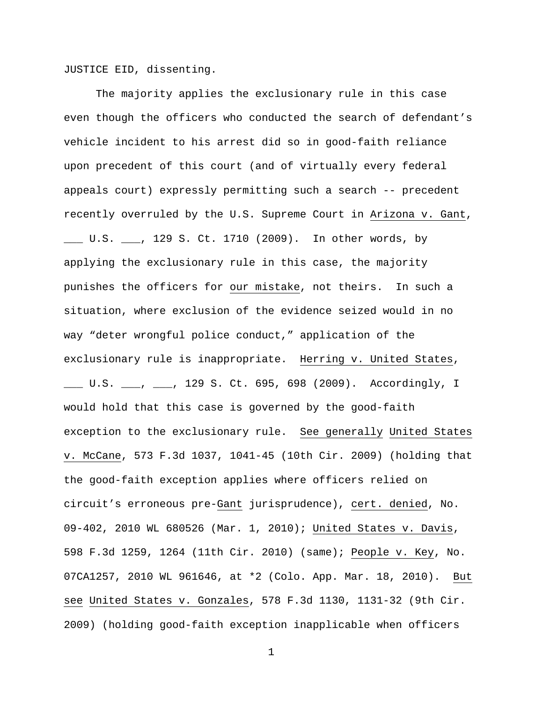JUSTICE EID, dissenting.

The majority applies the exclusionary rule in this case even though the officers who conducted the search of defendant's vehicle incident to his arrest did so in good-faith reliance upon precedent of this court (and of virtually every federal appeals court) expressly permitting such a search -- precedent recently overruled by the U.S. Supreme Court in Arizona v. Gant, \_\_\_ U.S. \_\_\_, 129 S. Ct. 1710 (2009). In other words, by applying the exclusionary rule in this case, the majority punishes the officers for our mistake, not theirs. In such a situation, where exclusion of the evidence seized would in no way "deter wrongful police conduct," application of the exclusionary rule is inappropriate. Herring v. United States, \_\_\_ U.S. \_\_\_, \_\_\_, 129 S. Ct. 695, 698 (2009). Accordingly, I would hold that this case is governed by the good-faith exception to the exclusionary rule. See generally United States v. McCane, 573 F.3d 1037, 1041-45 (10th Cir. 2009) (holding that the good-faith exception applies where officers relied on circuit's erroneous pre-Gant jurisprudence), cert. denied, No. 09-402, 2010 WL 680526 (Mar. 1, 2010); United States v. Davis, 598 F.3d 1259, 1264 (11th Cir. 2010) (same); People v. Key, No. 07CA1257, 2010 WL 961646, at \*2 (Colo. App. Mar. 18, 2010). But see United States v. Gonzales, 578 F.3d 1130, 1131-32 (9th Cir. 2009) (holding good-faith exception inapplicable when officers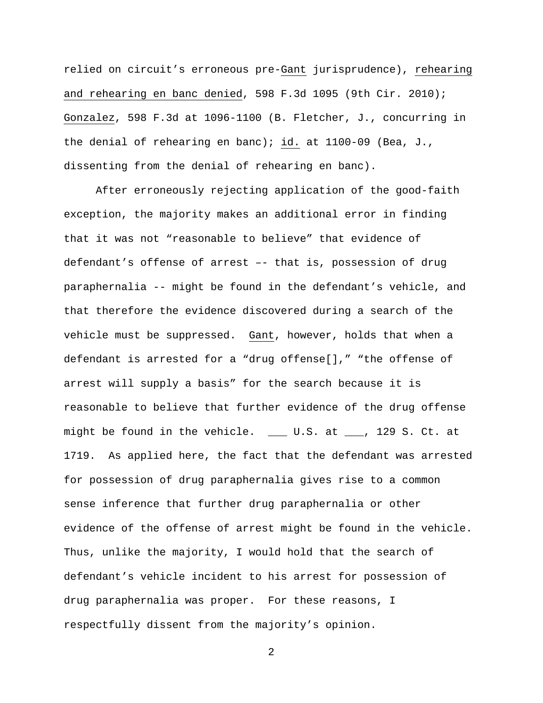relied on circuit's erroneous pre-Gant jurisprudence), rehearing and rehearing en banc denied, 598 F.3d 1095 (9th Cir. 2010); Gonzalez, 598 F.3d at 1096-1100 (B. Fletcher, J., concurring in the denial of rehearing en banc); id. at 1100-09 (Bea, J., dissenting from the denial of rehearing en banc).

 After erroneously rejecting application of the good-faith exception, the majority makes an additional error in finding that it was not "reasonable to believe" that evidence of defendant's offense of arrest –- that is, possession of drug paraphernalia -- might be found in the defendant's vehicle, and that therefore the evidence discovered during a search of the vehicle must be suppressed. Gant, however, holds that when a defendant is arrested for a "drug offense[]," "the offense of arrest will supply a basis" for the search because it is reasonable to believe that further evidence of the drug offense might be found in the vehicle. \_\_\_ U.S. at \_\_\_, 129 S. Ct. at 1719. As applied here, the fact that the defendant was arrested for possession of drug paraphernalia gives rise to a common sense inference that further drug paraphernalia or other evidence of the offense of arrest might be found in the vehicle. Thus, unlike the majority, I would hold that the search of defendant's vehicle incident to his arrest for possession of drug paraphernalia was proper. For these reasons, I respectfully dissent from the majority's opinion.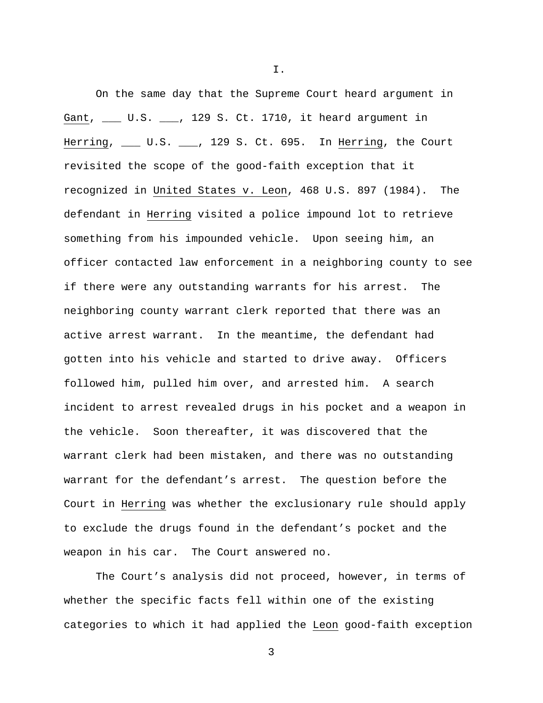On the same day that the Supreme Court heard argument in Gant, \_\_\_ U.S. \_\_\_, 129 S. Ct. 1710, it heard argument in Herring, \_\_\_ U.S. \_\_\_, 129 S. Ct. 695. In Herring, the Court revisited the scope of the good-faith exception that it recognized in United States v. Leon, 468 U.S. 897 (1984). The defendant in Herring visited a police impound lot to retrieve something from his impounded vehicle. Upon seeing him, an officer contacted law enforcement in a neighboring county to see if there were any outstanding warrants for his arrest. The neighboring county warrant clerk reported that there was an active arrest warrant. In the meantime, the defendant had gotten into his vehicle and started to drive away. Officers followed him, pulled him over, and arrested him. A search incident to arrest revealed drugs in his pocket and a weapon in the vehicle. Soon thereafter, it was discovered that the warrant clerk had been mistaken, and there was no outstanding warrant for the defendant's arrest. The question before the Court in Herring was whether the exclusionary rule should apply to exclude the drugs found in the defendant's pocket and the weapon in his car. The Court answered no.

 The Court's analysis did not proceed, however, in terms of whether the specific facts fell within one of the existing categories to which it had applied the Leon good-faith exception

3

I.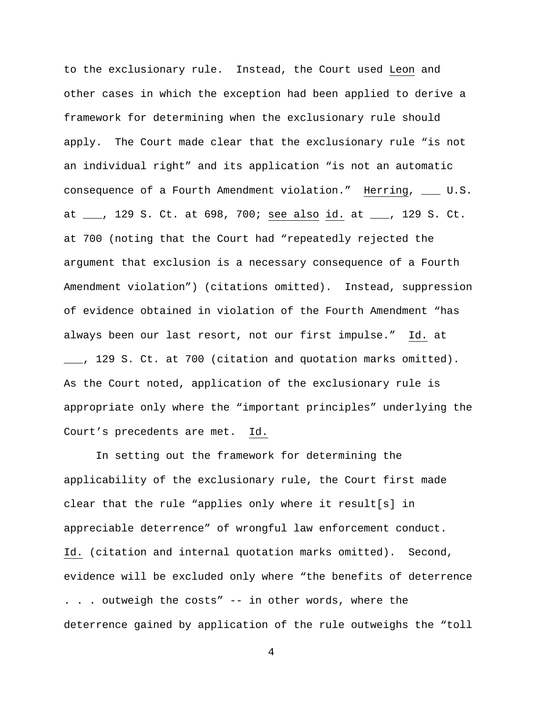to the exclusionary rule. Instead, the Court used Leon and other cases in which the exception had been applied to derive a framework for determining when the exclusionary rule should apply. The Court made clear that the exclusionary rule "is not an individual right" and its application "is not an automatic consequence of a Fourth Amendment violation." Herring, \_\_\_ U.S. at \_\_\_, 129 S. Ct. at 698, 700; see also id. at \_\_\_, 129 S. Ct. at 700 (noting that the Court had "repeatedly rejected the argument that exclusion is a necessary consequence of a Fourth Amendment violation") (citations omitted). Instead, suppression of evidence obtained in violation of the Fourth Amendment "has always been our last resort, not our first impulse." Id. at \_\_\_, 129 S. Ct. at 700 (citation and quotation marks omitted). As the Court noted, application of the exclusionary rule is appropriate only where the "important principles" underlying the Court's precedents are met. Id.

 In setting out the framework for determining the applicability of the exclusionary rule, the Court first made clear that the rule "applies only where it result[s] in appreciable deterrence" of wrongful law enforcement conduct. Id. (citation and internal quotation marks omitted). Second, evidence will be excluded only where "the benefits of deterrence . . . outweigh the costs" -- in other words, where the deterrence gained by application of the rule outweighs the "toll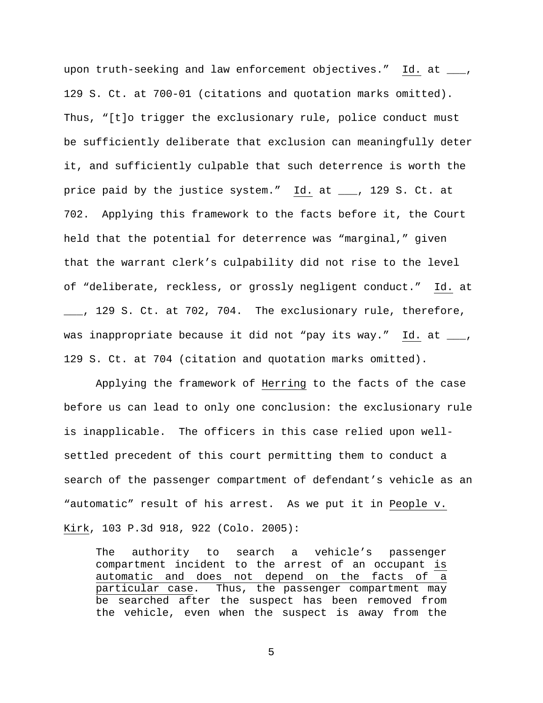upon truth-seeking and law enforcement objectives." Id. at \_\_\_, 129 S. Ct. at 700-01 (citations and quotation marks omitted). Thus, "[t]o trigger the exclusionary rule, police conduct must be sufficiently deliberate that exclusion can meaningfully deter it, and sufficiently culpable that such deterrence is worth the price paid by the justice system." Id. at \_\_\_, 129 S. Ct. at 702. Applying this framework to the facts before it, the Court held that the potential for deterrence was "marginal," given that the warrant clerk's culpability did not rise to the level of "deliberate, reckless, or grossly negligent conduct." Id. at \_\_\_, 129 S. Ct. at 702, 704. The exclusionary rule, therefore, was inappropriate because it did not "pay its way." Id. at  $\_\_$ , 129 S. Ct. at 704 (citation and quotation marks omitted).

 Applying the framework of Herring to the facts of the case before us can lead to only one conclusion: the exclusionary rule is inapplicable. The officers in this case relied upon wellsettled precedent of this court permitting them to conduct a search of the passenger compartment of defendant's vehicle as an "automatic" result of his arrest. As we put it in People v. Kirk, 103 P.3d 918, 922 (Colo. 2005):

The authority to search a vehicle's passenger compartment incident to the arrest of an occupant is automatic and does not depend on the facts of a particular case. Thus, the passenger compartment may be searched after the suspect has been removed from the vehicle, even when the suspect is away from the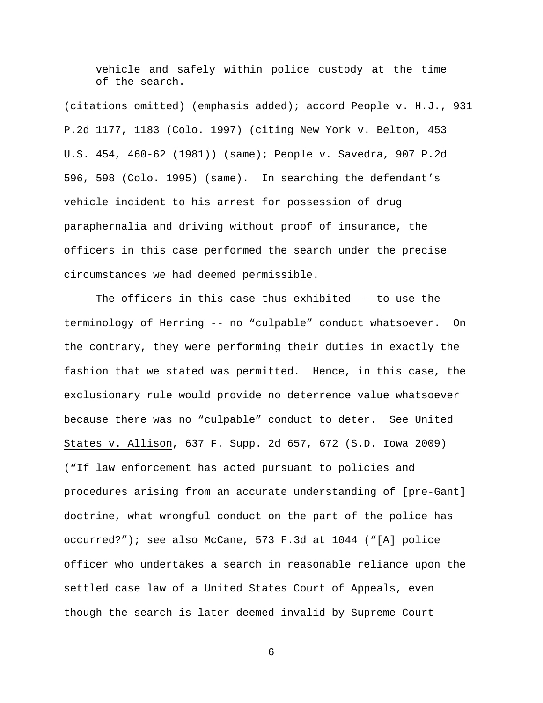vehicle and safely within police custody at the time of the search.

(citations omitted) (emphasis added); accord People v. H.J., 931 P.2d 1177, 1183 (Colo. 1997) (citing New York v. Belton, 453 U.S. 454, 460-62 (1981)) (same); People v. Savedra, 907 P.2d 596, 598 (Colo. 1995) (same). In searching the defendant's vehicle incident to his arrest for possession of drug paraphernalia and driving without proof of insurance, the officers in this case performed the search under the precise circumstances we had deemed permissible.

 The officers in this case thus exhibited –- to use the terminology of Herring -- no "culpable" conduct whatsoever. On the contrary, they were performing their duties in exactly the fashion that we stated was permitted. Hence, in this case, the exclusionary rule would provide no deterrence value whatsoever because there was no "culpable" conduct to deter. See United States v. Allison, 637 F. Supp. 2d 657, 672 (S.D. Iowa 2009) ("If law enforcement has acted pursuant to policies and procedures arising from an accurate understanding of [pre-Gant] doctrine, what wrongful conduct on the part of the police has occurred?"); see also McCane, 573 F.3d at 1044 ("[A] police officer who undertakes a search in reasonable reliance upon the settled case law of a United States Court of Appeals, even though the search is later deemed invalid by Supreme Court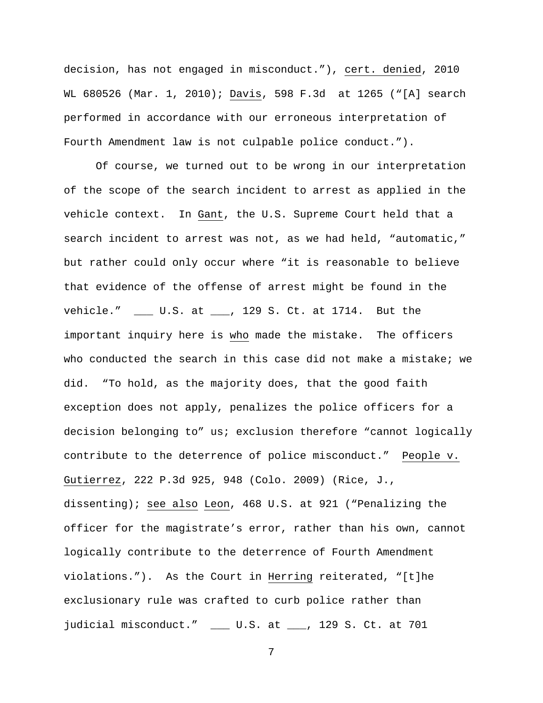decision, has not engaged in misconduct."), cert. denied, 2010 WL 680526 (Mar. 1, 2010); Davis, 598 F.3d at 1265 ("[A] search performed in accordance with our erroneous interpretation of Fourth Amendment law is not culpable police conduct.").

 Of course, we turned out to be wrong in our interpretation of the scope of the search incident to arrest as applied in the vehicle context. In Gant, the U.S. Supreme Court held that a search incident to arrest was not, as we had held, "automatic," but rather could only occur where "it is reasonable to believe that evidence of the offense of arrest might be found in the vehicle." \_\_\_ U.S. at \_\_\_, 129 S. Ct. at 1714. But the important inquiry here is who made the mistake. The officers who conducted the search in this case did not make a mistake; we did. "To hold, as the majority does, that the good faith exception does not apply, penalizes the police officers for a decision belonging to" us; exclusion therefore "cannot logically contribute to the deterrence of police misconduct." People v. Gutierrez, 222 P.3d 925, 948 (Colo. 2009) (Rice, J., dissenting); see also Leon, 468 U.S. at 921 ("Penalizing the officer for the magistrate's error, rather than his own, cannot logically contribute to the deterrence of Fourth Amendment violations."). As the Court in Herring reiterated, "[t]he exclusionary rule was crafted to curb police rather than judicial misconduct." \_\_\_ U.S. at \_\_\_, 129 S. Ct. at 701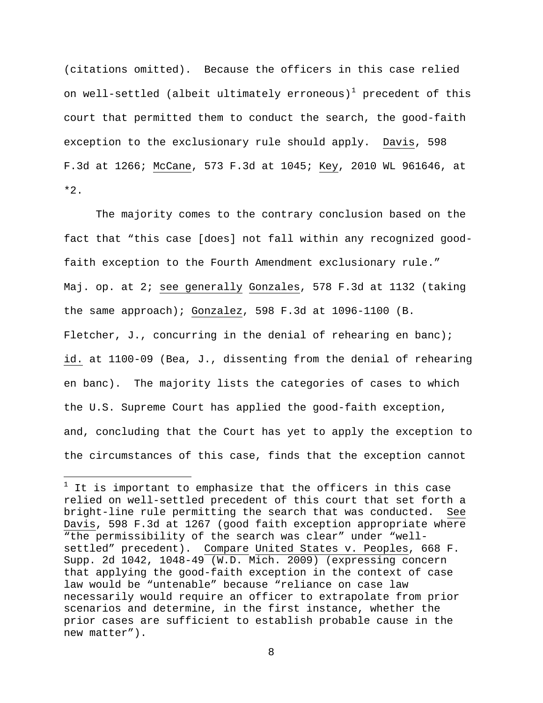(citations omitted). Because the officers in this case relied on well-settled (albeit ultimately erroneous)<sup>[1](#page-25-0)</sup> precedent of this court that permitted them to conduct the search, the good-faith exception to the exclusionary rule should apply. Davis, 598 F.3d at 1266; McCane, 573 F.3d at 1045; Key, 2010 WL 961646, at  $*2.$ 

 The majority comes to the contrary conclusion based on the fact that "this case [does] not fall within any recognized goodfaith exception to the Fourth Amendment exclusionary rule." Maj. op. at 2; see generally Gonzales, 578 F.3d at 1132 (taking the same approach); Gonzalez, 598 F.3d at 1096-1100 (B. Fletcher, J., concurring in the denial of rehearing en banc); id. at 1100-09 (Bea, J., dissenting from the denial of rehearing en banc). The majority lists the categories of cases to which the U.S. Supreme Court has applied the good-faith exception, and, concluding that the Court has yet to apply the exception to the circumstances of this case, finds that the exception cannot

i<br>Li

<span id="page-25-0"></span> $^1$  It is important to emphasize that the officers in this case relied on well-settled precedent of this court that set forth a bright-line rule permitting the search that was conducted. See Davis, 598 F.3d at 1267 (good faith exception appropriate where "the permissibility of the search was clear" under "wellsettled" precedent). Compare United States v. Peoples, 668 F. Supp. 2d 1042, 1048-49 (W.D. Mich. 2009) (expressing concern that applying the good-faith exception in the context of case law would be "untenable" because "reliance on case law necessarily would require an officer to extrapolate from prior scenarios and determine, in the first instance, whether the prior cases are sufficient to establish probable cause in the new matter").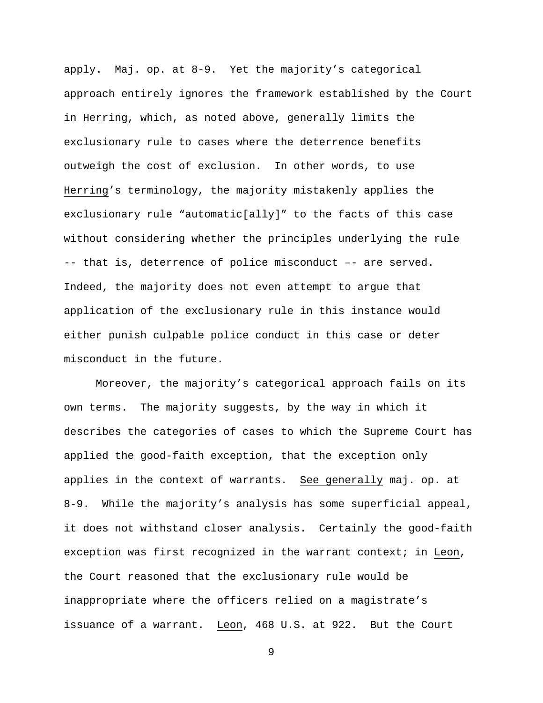apply. Maj. op. at 8-9. Yet the majority's categorical approach entirely ignores the framework established by the Court in Herring, which, as noted above, generally limits the exclusionary rule to cases where the deterrence benefits outweigh the cost of exclusion. In other words, to use Herring's terminology, the majority mistakenly applies the exclusionary rule "automatic[ally]" to the facts of this case without considering whether the principles underlying the rule -- that is, deterrence of police misconduct –- are served. Indeed, the majority does not even attempt to argue that application of the exclusionary rule in this instance would either punish culpable police conduct in this case or deter misconduct in the future.

Moreover, the majority's categorical approach fails on its own terms. The majority suggests, by the way in which it describes the categories of cases to which the Supreme Court has applied the good-faith exception, that the exception only applies in the context of warrants. See generally maj. op. at 8-9. While the majority's analysis has some superficial appeal, it does not withstand closer analysis. Certainly the good-faith exception was first recognized in the warrant context; in Leon, the Court reasoned that the exclusionary rule would be inappropriate where the officers relied on a magistrate's issuance of a warrant. Leon, 468 U.S. at 922. But the Court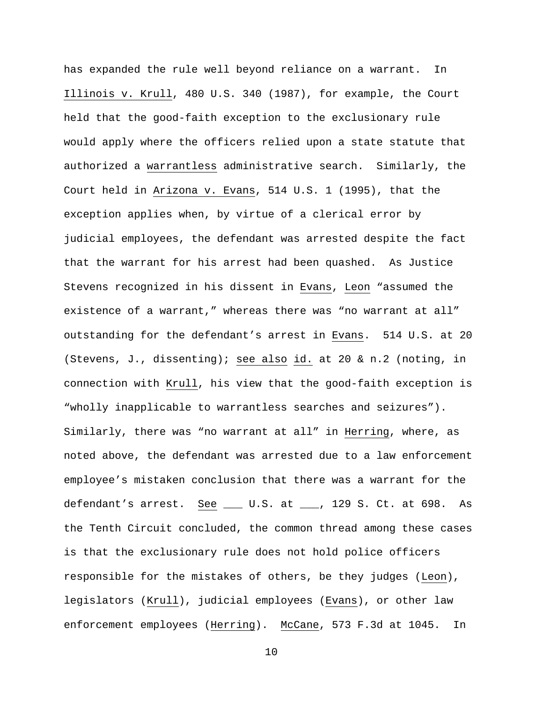has expanded the rule well beyond reliance on a warrant. In Illinois v. Krull, 480 U.S. 340 (1987), for example, the Court held that the good-faith exception to the exclusionary rule would apply where the officers relied upon a state statute that authorized a warrantless administrative search. Similarly, the Court held in Arizona v. Evans, 514 U.S. 1 (1995), that the exception applies when, by virtue of a clerical error by judicial employees, the defendant was arrested despite the fact that the warrant for his arrest had been quashed. As Justice Stevens recognized in his dissent in Evans, Leon "assumed the existence of a warrant," whereas there was "no warrant at all" outstanding for the defendant's arrest in Evans. 514 U.S. at 20 (Stevens, J., dissenting); see also id. at 20 & n.2 (noting, in connection with Krull, his view that the good-faith exception is "wholly inapplicable to warrantless searches and seizures"). Similarly, there was "no warrant at all" in Herring, where, as noted above, the defendant was arrested due to a law enforcement employee's mistaken conclusion that there was a warrant for the defendant's arrest. See \_\_\_ U.S. at \_\_\_, 129 S. Ct. at 698. As the Tenth Circuit concluded, the common thread among these cases is that the exclusionary rule does not hold police officers responsible for the mistakes of others, be they judges (Leon), legislators (Krull), judicial employees (Evans), or other law enforcement employees (Herring). McCane, 573 F.3d at 1045. In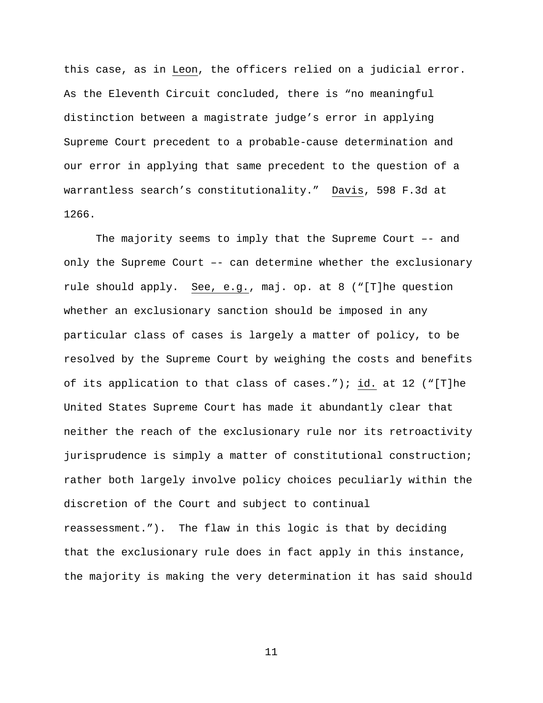this case, as in Leon, the officers relied on a judicial error. As the Eleventh Circuit concluded, there is "no meaningful distinction between a magistrate judge's error in applying Supreme Court precedent to a probable-cause determination and our error in applying that same precedent to the question of a warrantless search's constitutionality." Davis, 598 F.3d at 1266.

The majority seems to imply that the Supreme Court –- and only the Supreme Court –- can determine whether the exclusionary rule should apply. See, e.g., maj. op. at 8 ("[T]he question whether an exclusionary sanction should be imposed in any particular class of cases is largely a matter of policy, to be resolved by the Supreme Court by weighing the costs and benefits of its application to that class of cases."); id. at 12 ("[T]he United States Supreme Court has made it abundantly clear that neither the reach of the exclusionary rule nor its retroactivity jurisprudence is simply a matter of constitutional construction; rather both largely involve policy choices peculiarly within the discretion of the Court and subject to continual reassessment."). The flaw in this logic is that by deciding that the exclusionary rule does in fact apply in this instance, the majority is making the very determination it has said should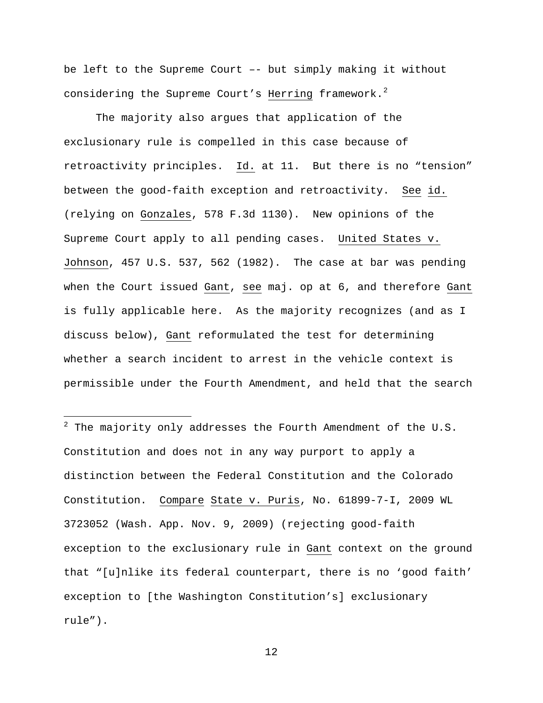be left to the Supreme Court –- but simply making it without considering the Supreme Court's Herring framework.<sup>[2](#page-29-0)</sup>

 The majority also argues that application of the exclusionary rule is compelled in this case because of retroactivity principles. Id. at 11. But there is no "tension" between the good-faith exception and retroactivity. See id. (relying on Gonzales, 578 F.3d 1130). New opinions of the Supreme Court apply to all pending cases. United States v. Johnson, 457 U.S. 537, 562 (1982). The case at bar was pending when the Court issued Gant, see maj. op at 6, and therefore Gant is fully applicable here. As the majority recognizes (and as I discuss below), Gant reformulated the test for determining whether a search incident to arrest in the vehicle context is permissible under the Fourth Amendment, and held that the search

<span id="page-29-0"></span> $^2$  The majority only addresses the Fourth Amendment of the U.S. Constitution and does not in any way purport to apply a distinction between the Federal Constitution and the Colorado Constitution. Compare State v. Puris, No. 61899-7-I, 2009 WL 3723052 (Wash. App. Nov. 9, 2009) (rejecting good-faith exception to the exclusionary rule in Gant context on the ground that "[u]nlike its federal counterpart, there is no 'good faith' exception to [the Washington Constitution's] exclusionary rule").

i<br>Li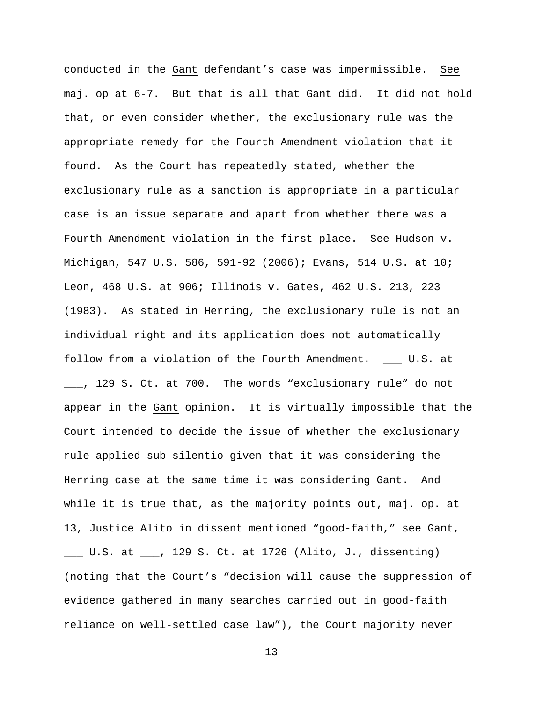conducted in the Gant defendant's case was impermissible. See maj. op at 6-7. But that is all that Gant did. It did not hold that, or even consider whether, the exclusionary rule was the appropriate remedy for the Fourth Amendment violation that it found. As the Court has repeatedly stated, whether the exclusionary rule as a sanction is appropriate in a particular case is an issue separate and apart from whether there was a Fourth Amendment violation in the first place. See Hudson v. Michigan, 547 U.S. 586, 591-92 (2006); Evans, 514 U.S. at 10; Leon, 468 U.S. at 906; Illinois v. Gates, 462 U.S. 213, 223 (1983). As stated in Herring, the exclusionary rule is not an individual right and its application does not automatically follow from a violation of the Fourth Amendment. \_\_\_ U.S. at \_\_\_, 129 S. Ct. at 700. The words "exclusionary rule" do not appear in the Gant opinion. It is virtually impossible that the Court intended to decide the issue of whether the exclusionary rule applied sub silentio given that it was considering the Herring case at the same time it was considering Gant. And while it is true that, as the majority points out, maj. op. at 13, Justice Alito in dissent mentioned "good-faith," see Gant,

\_\_\_ U.S. at \_\_\_, 129 S. Ct. at 1726 (Alito, J., dissenting) (noting that the Court's "decision will cause the suppression of evidence gathered in many searches carried out in good-faith reliance on well-settled case law"), the Court majority never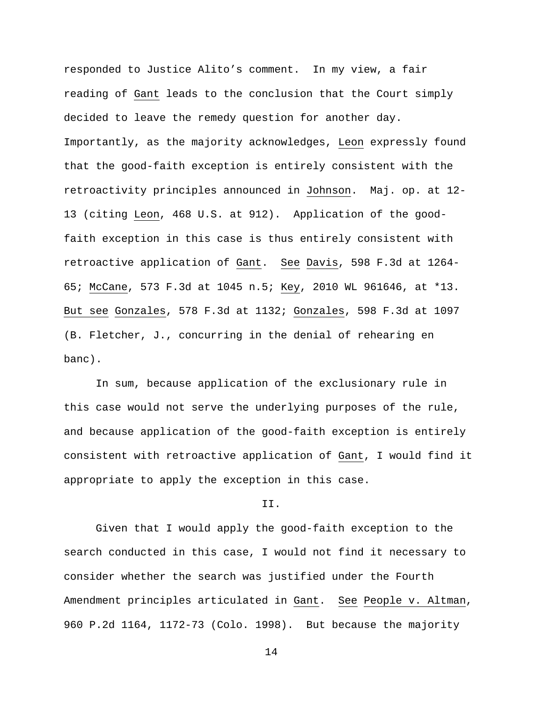responded to Justice Alito's comment. In my view, a fair reading of Gant leads to the conclusion that the Court simply decided to leave the remedy question for another day. Importantly, as the majority acknowledges, Leon expressly found that the good-faith exception is entirely consistent with the retroactivity principles announced in Johnson. Maj. op. at 12- 13 (citing Leon, 468 U.S. at 912). Application of the goodfaith exception in this case is thus entirely consistent with retroactive application of Gant. See Davis, 598 F.3d at 1264- 65; McCane, 573 F.3d at 1045 n.5; Key, 2010 WL 961646, at \*13. But see Gonzales, 578 F.3d at 1132; Gonzales, 598 F.3d at 1097 (B. Fletcher, J., concurring in the denial of rehearing en banc).

In sum, because application of the exclusionary rule in this case would not serve the underlying purposes of the rule, and because application of the good-faith exception is entirely consistent with retroactive application of Gant, I would find it appropriate to apply the exception in this case.

# II.

 Given that I would apply the good-faith exception to the search conducted in this case, I would not find it necessary to consider whether the search was justified under the Fourth Amendment principles articulated in Gant. See People v. Altman, 960 P.2d 1164, 1172-73 (Colo. 1998). But because the majority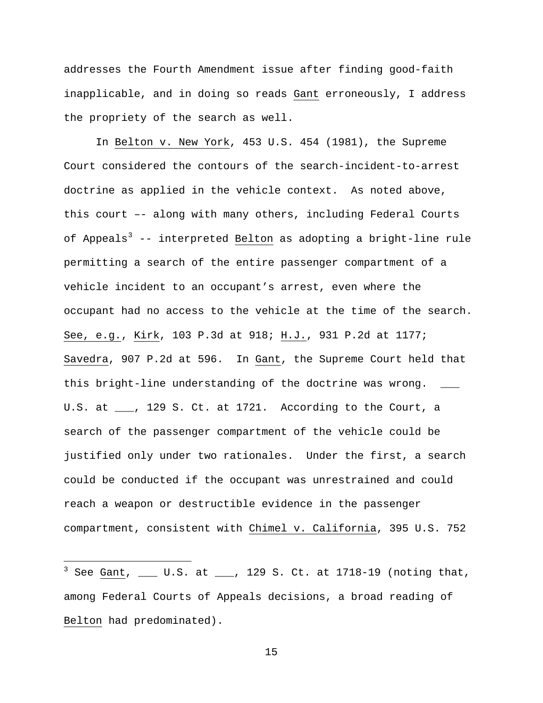addresses the Fourth Amendment issue after finding good-faith inapplicable, and in doing so reads Gant erroneously, I address the propriety of the search as well.

 In Belton v. New York, 453 U.S. 454 (1981), the Supreme Court considered the contours of the search-incident-to-arrest doctrine as applied in the vehicle context. As noted above, this court –- along with many others, including Federal Courts of Appeals<sup>[3](#page-32-0)</sup> -- interpreted Belton as adopting a bright-line rule permitting a search of the entire passenger compartment of a vehicle incident to an occupant's arrest, even where the occupant had no access to the vehicle at the time of the search. See, e.g., Kirk, 103 P.3d at 918; H.J., 931 P.2d at 1177; Savedra, 907 P.2d at 596. In Gant, the Supreme Court held that this bright-line understanding of the doctrine was wrong. \_\_\_ U.S. at \_\_\_, 129 S. Ct. at 1721. According to the Court, a search of the passenger compartment of the vehicle could be justified only under two rationales. Under the first, a search could be conducted if the occupant was unrestrained and could reach a weapon or destructible evidence in the passenger compartment, consistent with Chimel v. California, 395 U.S. 752

<span id="page-32-0"></span> 3 See Gant, \_\_\_ U.S. at \_\_\_, 129 S. Ct. at 1718-19 (noting that, among Federal Courts of Appeals decisions, a broad reading of Belton had predominated).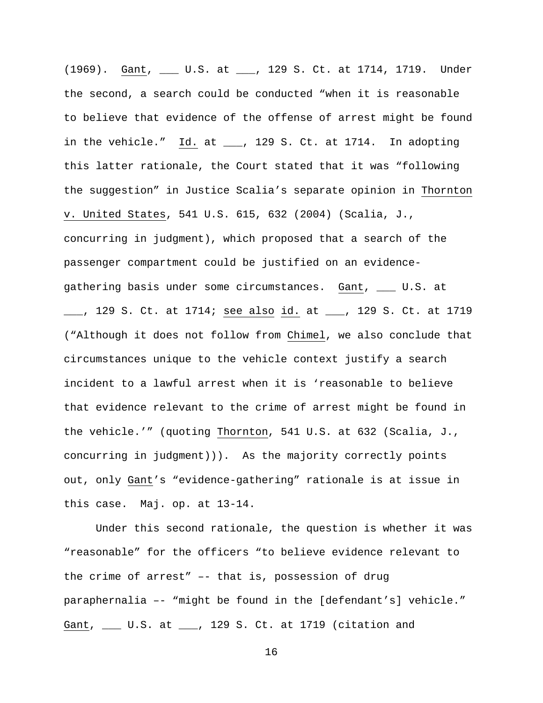(1969). Gant, \_\_\_ U.S. at \_\_\_, 129 S. Ct. at 1714, 1719. Under the second, a search could be conducted "when it is reasonable to believe that evidence of the offense of arrest might be found in the vehicle." Id. at \_\_\_, 129 S. Ct. at 1714. In adopting this latter rationale, the Court stated that it was "following the suggestion" in Justice Scalia's separate opinion in Thornton v. United States, 541 U.S. 615, 632 (2004) (Scalia, J., concurring in judgment), which proposed that a search of the passenger compartment could be justified on an evidencegathering basis under some circumstances. Gant, \_\_\_ U.S. at <u>\_\_</u>, 129 S. Ct. at 1714; <u>see also id.</u> at \_\_\_, 129 S. Ct. at 1719 ("Although it does not follow from Chimel, we also conclude that circumstances unique to the vehicle context justify a search incident to a lawful arrest when it is 'reasonable to believe that evidence relevant to the crime of arrest might be found in the vehicle.'" (quoting Thornton, 541 U.S. at 632 (Scalia, J., concurring in judgment))). As the majority correctly points out, only Gant's "evidence-gathering" rationale is at issue in this case. Maj. op. at 13-14.

 Under this second rationale, the question is whether it was "reasonable" for the officers "to believe evidence relevant to the crime of arrest" –- that is, possession of drug paraphernalia –- "might be found in the [defendant's] vehicle." Gant, \_\_\_ U.S. at \_\_\_, 129 S. Ct. at 1719 (citation and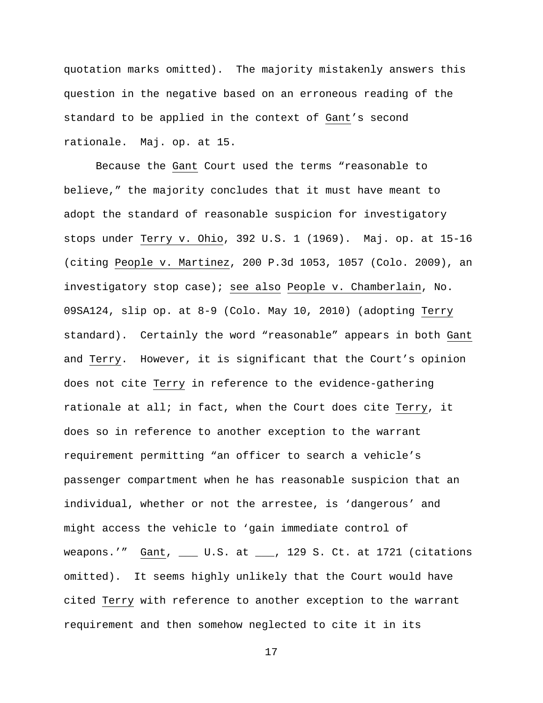quotation marks omitted). The majority mistakenly answers this question in the negative based on an erroneous reading of the standard to be applied in the context of Gant's second rationale. Maj. op. at 15.

 Because the Gant Court used the terms "reasonable to believe," the majority concludes that it must have meant to adopt the standard of reasonable suspicion for investigatory stops under Terry v. Ohio, 392 U.S. 1 (1969). Maj. op. at 15-16 (citing People v. Martinez, 200 P.3d 1053, 1057 (Colo. 2009), an investigatory stop case); see also People v. Chamberlain, No. 09SA124, slip op. at 8-9 (Colo. May 10, 2010) (adopting Terry standard). Certainly the word "reasonable" appears in both Gant and Terry. However, it is significant that the Court's opinion does not cite Terry in reference to the evidence-gathering rationale at all; in fact, when the Court does cite Terry, it does so in reference to another exception to the warrant requirement permitting "an officer to search a vehicle's passenger compartment when he has reasonable suspicion that an individual, whether or not the arrestee, is 'dangerous' and might access the vehicle to 'gain immediate control of weapons.'" Gant, \_\_\_ U.S. at \_\_\_, 129 S. Ct. at 1721 (citations omitted). It seems highly unlikely that the Court would have cited Terry with reference to another exception to the warrant requirement and then somehow neglected to cite it in its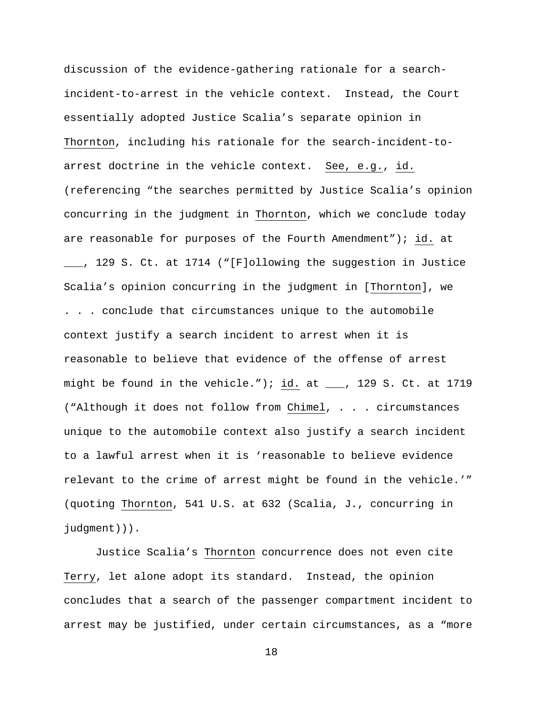discussion of the evidence-gathering rationale for a searchincident-to-arrest in the vehicle context. Instead, the Court essentially adopted Justice Scalia's separate opinion in Thornton, including his rationale for the search-incident-toarrest doctrine in the vehicle context. See, e.g., id. (referencing "the searches permitted by Justice Scalia's opinion concurring in the judgment in Thornton, which we conclude today are reasonable for purposes of the Fourth Amendment"); id. at \_\_\_, 129 S. Ct. at 1714 ("[F]ollowing the suggestion in Justice Scalia's opinion concurring in the judgment in [Thornton], we . . . conclude that circumstances unique to the automobile context justify a search incident to arrest when it is reasonable to believe that evidence of the offense of arrest might be found in the vehicle."); id. at  $\quad \_ \,$ , 129 S. Ct. at 1719 ("Although it does not follow from Chimel, . . . circumstances unique to the automobile context also justify a search incident to a lawful arrest when it is 'reasonable to believe evidence relevant to the crime of arrest might be found in the vehicle.'" (quoting Thornton, 541 U.S. at 632 (Scalia, J., concurring in judgment))).

Justice Scalia's Thornton concurrence does not even cite Terry, let alone adopt its standard. Instead, the opinion concludes that a search of the passenger compartment incident to arrest may be justified, under certain circumstances, as a "more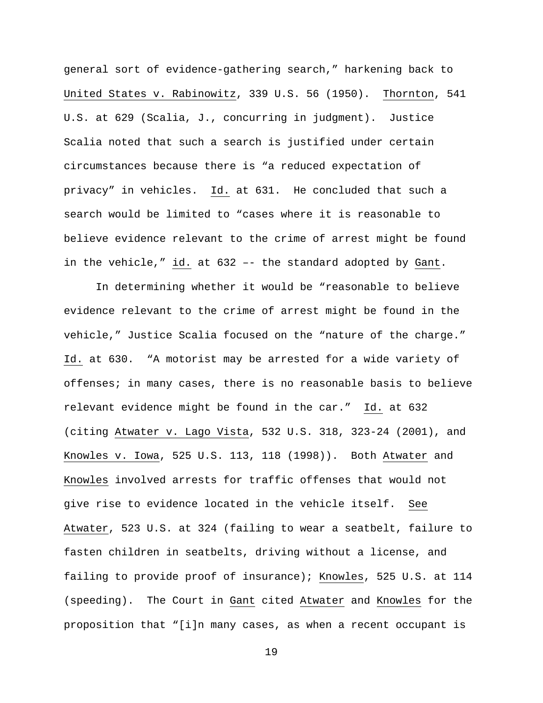general sort of evidence-gathering search," harkening back to United States v. Rabinowitz, 339 U.S. 56 (1950). Thornton, 541 U.S. at 629 (Scalia, J., concurring in judgment). Justice Scalia noted that such a search is justified under certain circumstances because there is "a reduced expectation of privacy" in vehicles. Id. at 631. He concluded that such a search would be limited to "cases where it is reasonable to believe evidence relevant to the crime of arrest might be found in the vehicle," id. at 632 –- the standard adopted by Gant.

 In determining whether it would be "reasonable to believe evidence relevant to the crime of arrest might be found in the vehicle," Justice Scalia focused on the "nature of the charge." Id. at 630. "A motorist may be arrested for a wide variety of offenses; in many cases, there is no reasonable basis to believe relevant evidence might be found in the car." Id. at 632 (citing Atwater v. Lago Vista, 532 U.S. 318, 323-24 (2001), and Knowles v. Iowa, 525 U.S. 113, 118 (1998)). Both Atwater and Knowles involved arrests for traffic offenses that would not give rise to evidence located in the vehicle itself. See Atwater, 523 U.S. at 324 (failing to wear a seatbelt, failure to fasten children in seatbelts, driving without a license, and failing to provide proof of insurance); Knowles, 525 U.S. at 114 (speeding). The Court in Gant cited Atwater and Knowles for the proposition that "[i]n many cases, as when a recent occupant is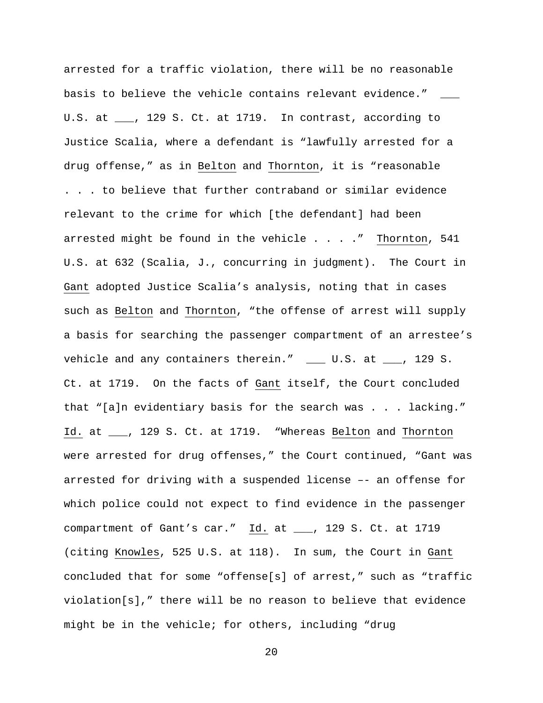arrested for a traffic violation, there will be no reasonable basis to believe the vehicle contains relevant evidence." U.S. at \_\_\_, 129 S. Ct. at 1719. In contrast, according to Justice Scalia, where a defendant is "lawfully arrested for a drug offense," as in Belton and Thornton, it is "reasonable . . . to believe that further contraband or similar evidence relevant to the crime for which [the defendant] had been arrested might be found in the vehicle . . . . " Thornton, 541 U.S. at 632 (Scalia, J., concurring in judgment). The Court in Gant adopted Justice Scalia's analysis, noting that in cases such as Belton and Thornton, "the offense of arrest will supply a basis for searching the passenger compartment of an arrestee's vehicle and any containers therein." \_\_\_ U.S. at \_\_\_, 129 S. Ct. at 1719. On the facts of Gant itself, the Court concluded that "[a]n evidentiary basis for the search was . . . lacking." Id. at \_\_\_, 129 S. Ct. at 1719. "Whereas Belton and Thornton were arrested for drug offenses," the Court continued, "Gant was arrested for driving with a suspended license –- an offense for which police could not expect to find evidence in the passenger compartment of Gant's car." Id. at \_\_\_, 129 S. Ct. at 1719 (citing Knowles, 525 U.S. at 118). In sum, the Court in Gant concluded that for some "offense[s] of arrest," such as "traffic violation[s]," there will be no reason to believe that evidence might be in the vehicle; for others, including "drug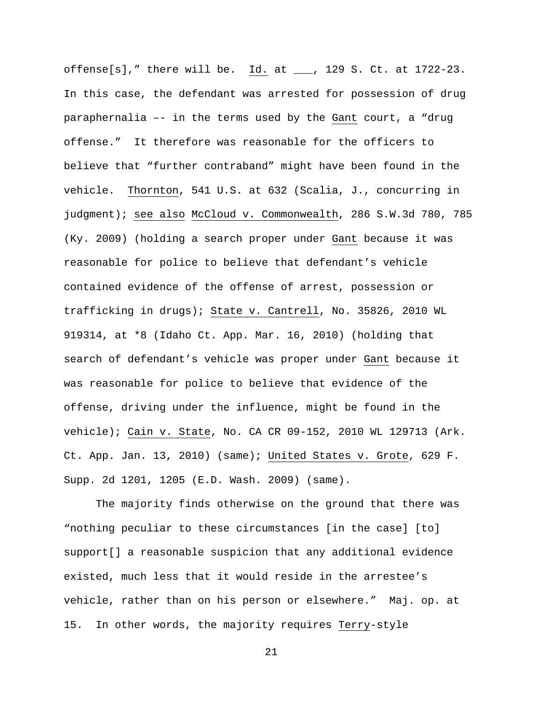offense[s]," there will be. Id. at \_\_\_, 129 S. Ct. at 1722-23. In this case, the defendant was arrested for possession of drug paraphernalia –- in the terms used by the Gant court, a "drug offense." It therefore was reasonable for the officers to believe that "further contraband" might have been found in the vehicle. Thornton, 541 U.S. at 632 (Scalia, J., concurring in judgment); see also McCloud v. Commonwealth, 286 S.W.3d 780, 785 (Ky. 2009) (holding a search proper under Gant because it was reasonable for police to believe that defendant's vehicle contained evidence of the offense of arrest, possession or trafficking in drugs); State v. Cantrell, No. 35826, 2010 WL 919314, at \*8 (Idaho Ct. App. Mar. 16, 2010) (holding that search of defendant's vehicle was proper under Gant because it was reasonable for police to believe that evidence of the offense, driving under the influence, might be found in the vehicle); Cain v. State, No. CA CR 09-152, 2010 WL 129713 (Ark. Ct. App. Jan. 13, 2010) (same); United States v. Grote, 629 F. Supp. 2d 1201, 1205 (E.D. Wash. 2009) (same).

 The majority finds otherwise on the ground that there was "nothing peculiar to these circumstances [in the case] [to] support[] a reasonable suspicion that any additional evidence existed, much less that it would reside in the arrestee's vehicle, rather than on his person or elsewhere." Maj. op. at 15. In other words, the majority requires Terry-style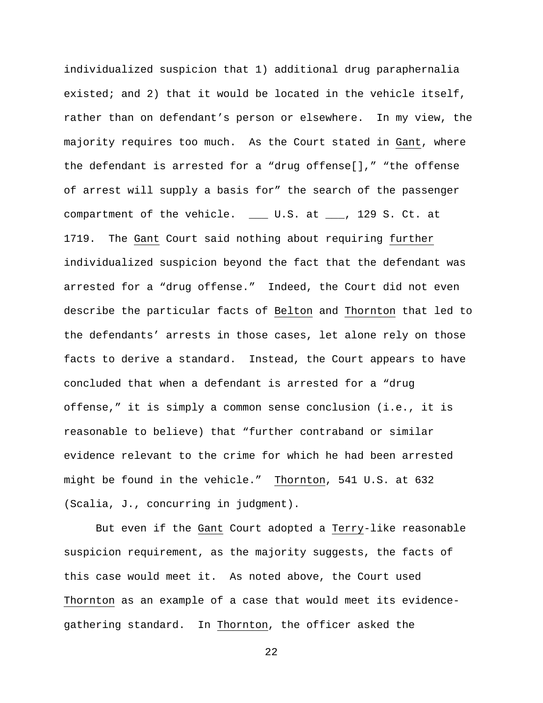individualized suspicion that 1) additional drug paraphernalia existed; and 2) that it would be located in the vehicle itself, rather than on defendant's person or elsewhere. In my view, the majority requires too much. As the Court stated in Gant, where the defendant is arrested for a "drug offense[]," "the offense of arrest will supply a basis for" the search of the passenger compartment of the vehicle. \_\_\_ U.S. at \_\_\_, 129 S. Ct. at 1719. The Gant Court said nothing about requiring further individualized suspicion beyond the fact that the defendant was arrested for a "drug offense." Indeed, the Court did not even describe the particular facts of Belton and Thornton that led to the defendants' arrests in those cases, let alone rely on those facts to derive a standard. Instead, the Court appears to have concluded that when a defendant is arrested for a "drug offense," it is simply a common sense conclusion (i.e., it is reasonable to believe) that "further contraband or similar evidence relevant to the crime for which he had been arrested might be found in the vehicle." Thornton, 541 U.S. at 632 (Scalia, J., concurring in judgment).

 But even if the Gant Court adopted a Terry-like reasonable suspicion requirement, as the majority suggests, the facts of this case would meet it. As noted above, the Court used Thornton as an example of a case that would meet its evidencegathering standard. In Thornton, the officer asked the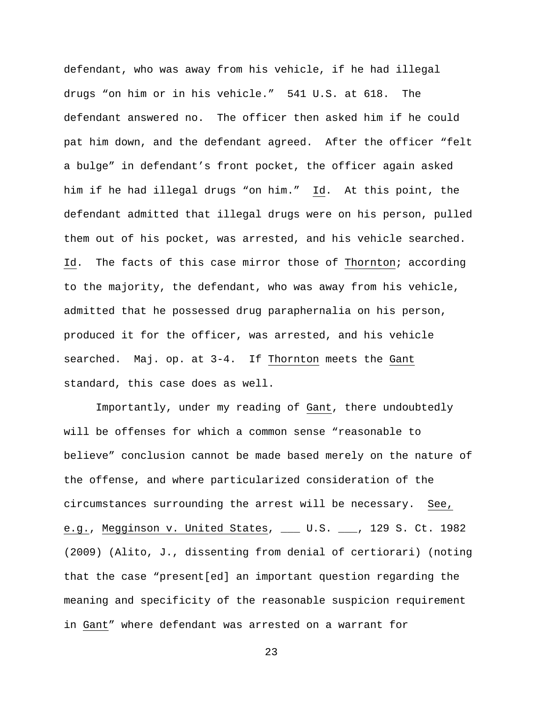defendant, who was away from his vehicle, if he had illegal drugs "on him or in his vehicle." 541 U.S. at 618. The defendant answered no. The officer then asked him if he could pat him down, and the defendant agreed. After the officer "felt a bulge" in defendant's front pocket, the officer again asked him if he had illegal drugs "on him." Id. At this point, the defendant admitted that illegal drugs were on his person, pulled them out of his pocket, was arrested, and his vehicle searched. Id. The facts of this case mirror those of Thornton; according to the majority, the defendant, who was away from his vehicle, admitted that he possessed drug paraphernalia on his person, produced it for the officer, was arrested, and his vehicle searched. Maj. op. at 3-4. If Thornton meets the Gant standard, this case does as well.

 Importantly, under my reading of Gant, there undoubtedly will be offenses for which a common sense "reasonable to believe" conclusion cannot be made based merely on the nature of the offense, and where particularized consideration of the circumstances surrounding the arrest will be necessary. See, e.g., Megginson v. United States, \_\_\_ U.S. \_\_\_, 129 S. Ct. 1982 (2009) (Alito, J., dissenting from denial of certiorari) (noting that the case "present[ed] an important question regarding the meaning and specificity of the reasonable suspicion requirement in Gant" where defendant was arrested on a warrant for